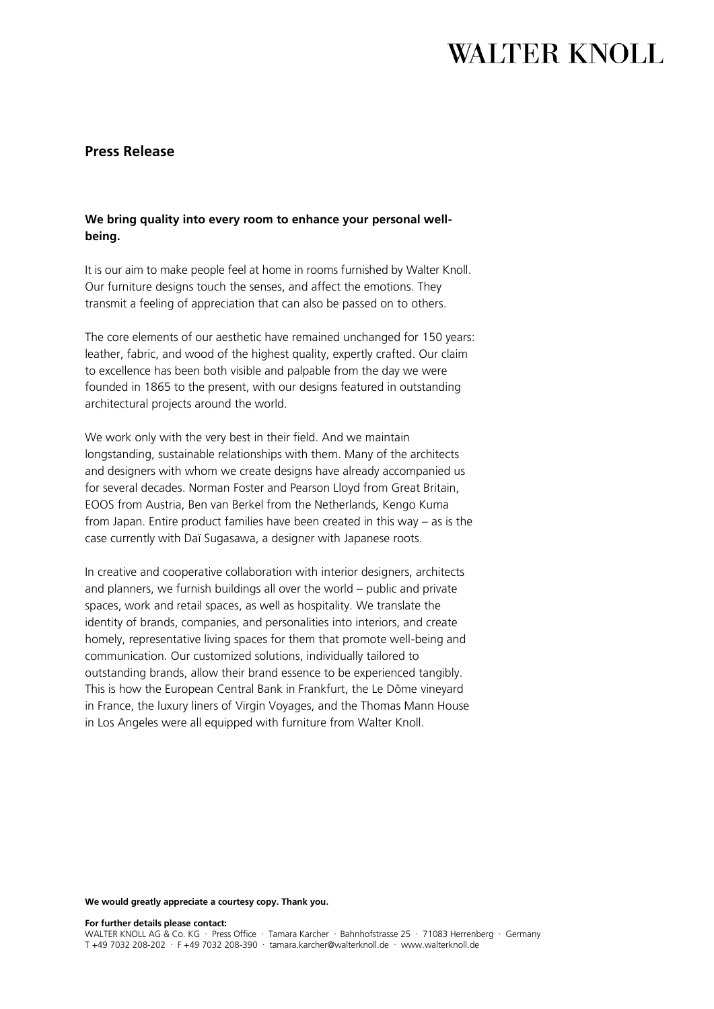# **WALTER KNOLL**

### **Press Release**

### **We bring quality into every room to enhance your personal wellbeing.**

It is our aim to make people feel at home in rooms furnished by Walter Knoll. Our furniture designs touch the senses, and affect the emotions. They transmit a feeling of appreciation that can also be passed on to others.

The core elements of our aesthetic have remained unchanged for 150 years: leather, fabric, and wood of the highest quality, expertly crafted. Our claim to excellence has been both visible and palpable from the day we were founded in 1865 to the present, with our designs featured in outstanding architectural projects around the world.

We work only with the very best in their field. And we maintain longstanding, sustainable relationships with them. Many of the architects and designers with whom we create designs have already accompanied us for several decades. Norman Foster and Pearson Lloyd from Great Britain, EOOS from Austria, Ben van Berkel from the Netherlands, Kengo Kuma from Japan. Entire product families have been created in this way – as is the case currently with Daï Sugasawa, a designer with Japanese roots.

In creative and cooperative collaboration with interior designers, architects and planners, we furnish buildings all over the world – public and private spaces, work and retail spaces, as well as hospitality. We translate the identity of brands, companies, and personalities into interiors, and create homely, representative living spaces for them that promote well-being and communication. Our customized solutions, individually tailored to outstanding brands, allow their brand essence to be experienced tangibly. This is how the European Central Bank in Frankfurt, the Le Dôme vineyard in France, the luxury liners of Virgin Voyages, and the Thomas Mann House in Los Angeles were all equipped with furniture from Walter Knoll.

#### **We would greatly appreciate a courtesy copy. Thank you.**